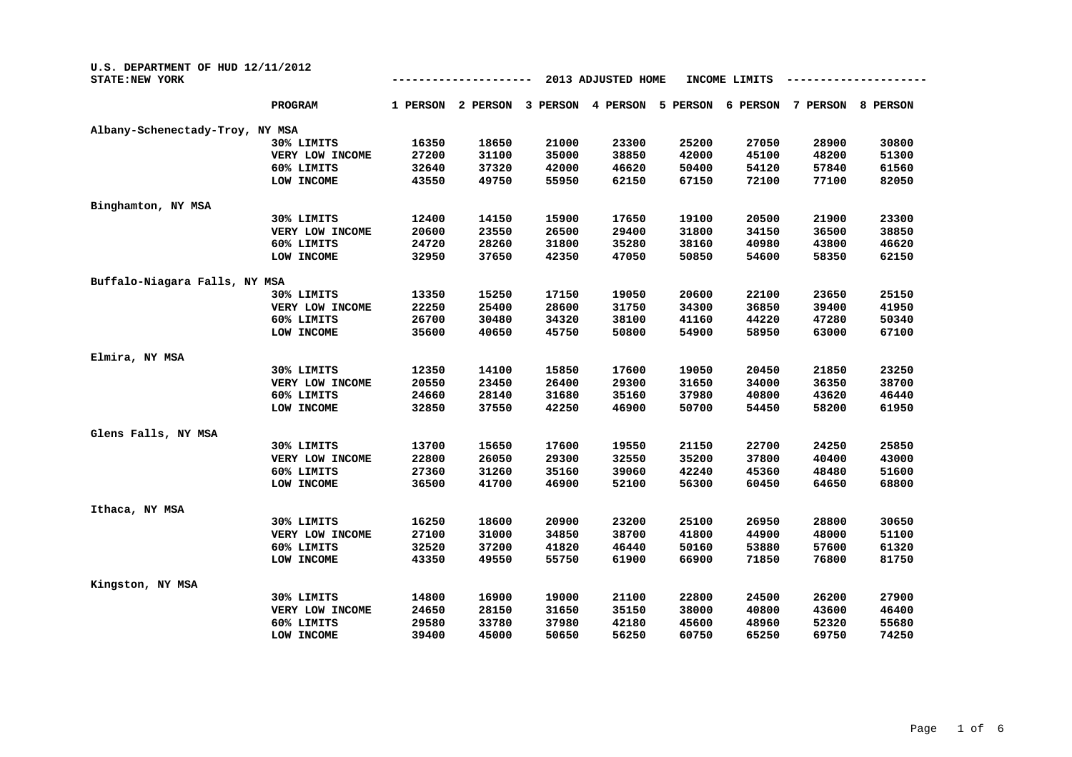| U.S. DEPARTMENT OF HUD 12/11/2012<br><b>STATE: NEW YORK</b> |                 | 2013 ADJUSTED HOME<br>INCOME LIMITS |          |          |          |          |          |          |          |
|-------------------------------------------------------------|-----------------|-------------------------------------|----------|----------|----------|----------|----------|----------|----------|
|                                                             | <b>PROGRAM</b>  | 1 PERSON                            | 2 PERSON | 3 PERSON | 4 PERSON | 5 PERSON | 6 PERSON | 7 PERSON | 8 PERSON |
| Albany-Schenectady-Troy, NY MSA                             |                 |                                     |          |          |          |          |          |          |          |
|                                                             | 30% LIMITS      | 16350                               | 18650    | 21000    | 23300    | 25200    | 27050    | 28900    | 30800    |
|                                                             | VERY LOW INCOME | 27200                               | 31100    | 35000    | 38850    | 42000    | 45100    | 48200    | 51300    |
|                                                             | 60% LIMITS      | 32640                               | 37320    | 42000    | 46620    | 50400    | 54120    | 57840    | 61560    |
|                                                             | LOW INCOME      | 43550                               | 49750    | 55950    | 62150    | 67150    | 72100    | 77100    | 82050    |
| Binghamton, NY MSA                                          |                 |                                     |          |          |          |          |          |          |          |
|                                                             | 30% LIMITS      | 12400                               | 14150    | 15900    | 17650    | 19100    | 20500    | 21900    | 23300    |
|                                                             | VERY LOW INCOME | 20600                               | 23550    | 26500    | 29400    | 31800    | 34150    | 36500    | 38850    |
|                                                             | 60% LIMITS      | 24720                               | 28260    | 31800    | 35280    | 38160    | 40980    | 43800    | 46620    |
|                                                             | LOW INCOME      | 32950                               | 37650    | 42350    | 47050    | 50850    | 54600    | 58350    | 62150    |
| Buffalo-Niagara Falls, NY MSA                               |                 |                                     |          |          |          |          |          |          |          |
|                                                             | 30% LIMITS      | 13350                               | 15250    | 17150    | 19050    | 20600    | 22100    | 23650    | 25150    |
|                                                             | VERY LOW INCOME | 22250                               | 25400    | 28600    | 31750    | 34300    | 36850    | 39400    | 41950    |
|                                                             | 60% LIMITS      | 26700                               | 30480    | 34320    | 38100    | 41160    | 44220    | 47280    | 50340    |
|                                                             | LOW INCOME      | 35600                               | 40650    | 45750    | 50800    | 54900    | 58950    | 63000    | 67100    |
| Elmira, NY MSA                                              |                 |                                     |          |          |          |          |          |          |          |
|                                                             | 30% LIMITS      | 12350                               | 14100    | 15850    | 17600    | 19050    | 20450    | 21850    | 23250    |
|                                                             | VERY LOW INCOME | 20550                               | 23450    | 26400    | 29300    | 31650    | 34000    | 36350    | 38700    |
|                                                             | 60% LIMITS      | 24660                               | 28140    | 31680    | 35160    | 37980    | 40800    | 43620    | 46440    |
|                                                             | LOW INCOME      | 32850                               | 37550    | 42250    | 46900    | 50700    | 54450    | 58200    | 61950    |
| Glens Falls, NY MSA                                         |                 |                                     |          |          |          |          |          |          |          |
|                                                             | 30% LIMITS      | 13700                               | 15650    | 17600    | 19550    | 21150    | 22700    | 24250    | 25850    |
|                                                             | VERY LOW INCOME | 22800                               | 26050    | 29300    | 32550    | 35200    | 37800    | 40400    | 43000    |
|                                                             | 60% LIMITS      | 27360                               | 31260    | 35160    | 39060    | 42240    | 45360    | 48480    | 51600    |
|                                                             | LOW INCOME      | 36500                               | 41700    | 46900    | 52100    | 56300    | 60450    | 64650    | 68800    |
| Ithaca, NY MSA                                              |                 |                                     |          |          |          |          |          |          |          |
|                                                             | 30% LIMITS      | 16250                               | 18600    | 20900    | 23200    | 25100    | 26950    | 28800    | 30650    |
|                                                             | VERY LOW INCOME | 27100                               | 31000    | 34850    | 38700    | 41800    | 44900    | 48000    | 51100    |
|                                                             | 60% LIMITS      | 32520                               | 37200    | 41820    | 46440    | 50160    | 53880    | 57600    | 61320    |
|                                                             | LOW INCOME      | 43350                               | 49550    | 55750    | 61900    | 66900    | 71850    | 76800    | 81750    |
| Kingston, NY MSA                                            |                 |                                     |          |          |          |          |          |          |          |
|                                                             | 30% LIMITS      | 14800                               | 16900    | 19000    | 21100    | 22800    | 24500    | 26200    | 27900    |
|                                                             | VERY LOW INCOME | 24650                               | 28150    | 31650    | 35150    | 38000    | 40800    | 43600    | 46400    |
|                                                             | 60% LIMITS      | 29580                               | 33780    | 37980    | 42180    | 45600    | 48960    | 52320    | 55680    |
|                                                             | LOW INCOME      | 39400                               | 45000    | 50650    | 56250    | 60750    | 65250    | 69750    | 74250    |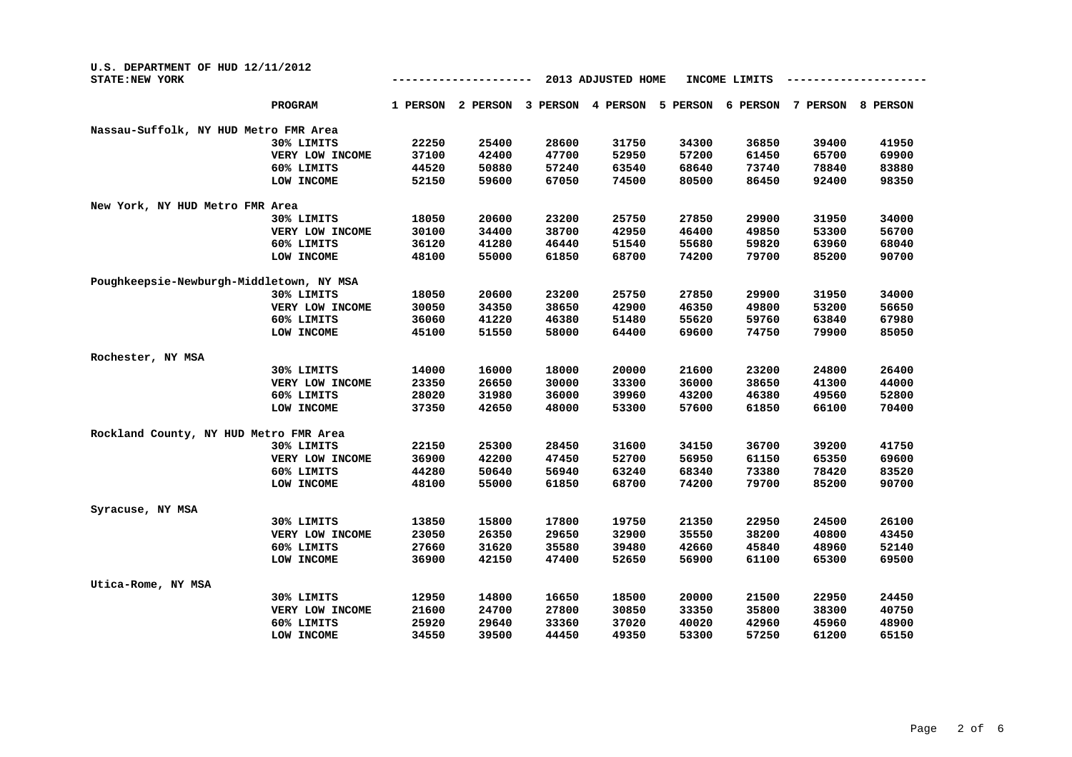| U.S. DEPARTMENT OF HUD 12/11/2012<br><b>STATE: NEW YORK</b> |                 |          |          |          | 2013 ADJUSTED HOME |          | INCOME LIMITS |          |          |
|-------------------------------------------------------------|-----------------|----------|----------|----------|--------------------|----------|---------------|----------|----------|
|                                                             | <b>PROGRAM</b>  | 1 PERSON | 2 PERSON | 3 PERSON | 4 PERSON           | 5 PERSON | 6 PERSON      | 7 PERSON | 8 PERSON |
| Nassau-Suffolk, NY HUD Metro FMR Area                       |                 |          |          |          |                    |          |               |          |          |
|                                                             | 30% LIMITS      | 22250    | 25400    | 28600    | 31750              | 34300    | 36850         | 39400    | 41950    |
|                                                             | VERY LOW INCOME | 37100    | 42400    | 47700    | 52950              | 57200    | 61450         | 65700    | 69900    |
|                                                             | 60% LIMITS      | 44520    | 50880    | 57240    | 63540              | 68640    | 73740         | 78840    | 83880    |
|                                                             | LOW INCOME      | 52150    | 59600    | 67050    | 74500              | 80500    | 86450         | 92400    | 98350    |
| New York, NY HUD Metro FMR Area                             |                 |          |          |          |                    |          |               |          |          |
|                                                             | 30% LIMITS      | 18050    | 20600    | 23200    | 25750              | 27850    | 29900         | 31950    | 34000    |
|                                                             | VERY LOW INCOME | 30100    | 34400    | 38700    | 42950              | 46400    | 49850         | 53300    | 56700    |
|                                                             | 60% LIMITS      | 36120    | 41280    | 46440    | 51540              | 55680    | 59820         | 63960    | 68040    |
|                                                             | LOW INCOME      | 48100    | 55000    | 61850    | 68700              | 74200    | 79700         | 85200    | 90700    |
| Poughkeepsie-Newburgh-Middletown, NY MSA                    |                 |          |          |          |                    |          |               |          |          |
|                                                             | 30% LIMITS      | 18050    | 20600    | 23200    | 25750              | 27850    | 29900         | 31950    | 34000    |
|                                                             | VERY LOW INCOME | 30050    | 34350    | 38650    | 42900              | 46350    | 49800         | 53200    | 56650    |
|                                                             | 60% LIMITS      | 36060    | 41220    | 46380    | 51480              | 55620    | 59760         | 63840    | 67980    |
|                                                             | LOW INCOME      | 45100    | 51550    | 58000    | 64400              | 69600    | 74750         | 79900    | 85050    |
| Rochester, NY MSA                                           |                 |          |          |          |                    |          |               |          |          |
|                                                             | 30% LIMITS      | 14000    | 16000    | 18000    | 20000              | 21600    | 23200         | 24800    | 26400    |
|                                                             | VERY LOW INCOME | 23350    | 26650    | 30000    | 33300              | 36000    | 38650         | 41300    | 44000    |
|                                                             | 60% LIMITS      | 28020    | 31980    | 36000    | 39960              | 43200    | 46380         | 49560    | 52800    |
|                                                             | LOW INCOME      | 37350    | 42650    | 48000    | 53300              | 57600    | 61850         | 66100    | 70400    |
| Rockland County, NY HUD Metro FMR Area                      |                 |          |          |          |                    |          |               |          |          |
|                                                             | 30% LIMITS      | 22150    | 25300    | 28450    | 31600              | 34150    | 36700         | 39200    | 41750    |
|                                                             | VERY LOW INCOME | 36900    | 42200    | 47450    | 52700              | 56950    | 61150         | 65350    | 69600    |
|                                                             | 60% LIMITS      | 44280    | 50640    | 56940    | 63240              | 68340    | 73380         | 78420    | 83520    |
|                                                             | LOW INCOME      | 48100    | 55000    | 61850    | 68700              | 74200    | 79700         | 85200    | 90700    |
| Syracuse, NY MSA                                            |                 |          |          |          |                    |          |               |          |          |
|                                                             | 30% LIMITS      | 13850    | 15800    | 17800    | 19750              | 21350    | 22950         | 24500    | 26100    |
|                                                             | VERY LOW INCOME | 23050    | 26350    | 29650    | 32900              | 35550    | 38200         | 40800    | 43450    |
|                                                             | 60% LIMITS      | 27660    | 31620    | 35580    | 39480              | 42660    | 45840         | 48960    | 52140    |
|                                                             | LOW INCOME      | 36900    | 42150    | 47400    | 52650              | 56900    | 61100         | 65300    | 69500    |
| Utica-Rome, NY MSA                                          |                 |          |          |          |                    |          |               |          |          |
|                                                             | 30% LIMITS      | 12950    | 14800    | 16650    | 18500              | 20000    | 21500         | 22950    | 24450    |
|                                                             | VERY LOW INCOME | 21600    | 24700    | 27800    | 30850              | 33350    | 35800         | 38300    | 40750    |
|                                                             | 60% LIMITS      | 25920    | 29640    | 33360    | 37020              | 40020    | 42960         | 45960    | 48900    |
|                                                             | LOW INCOME      | 34550    | 39500    | 44450    | 49350              | 53300    | 57250         | 61200    | 65150    |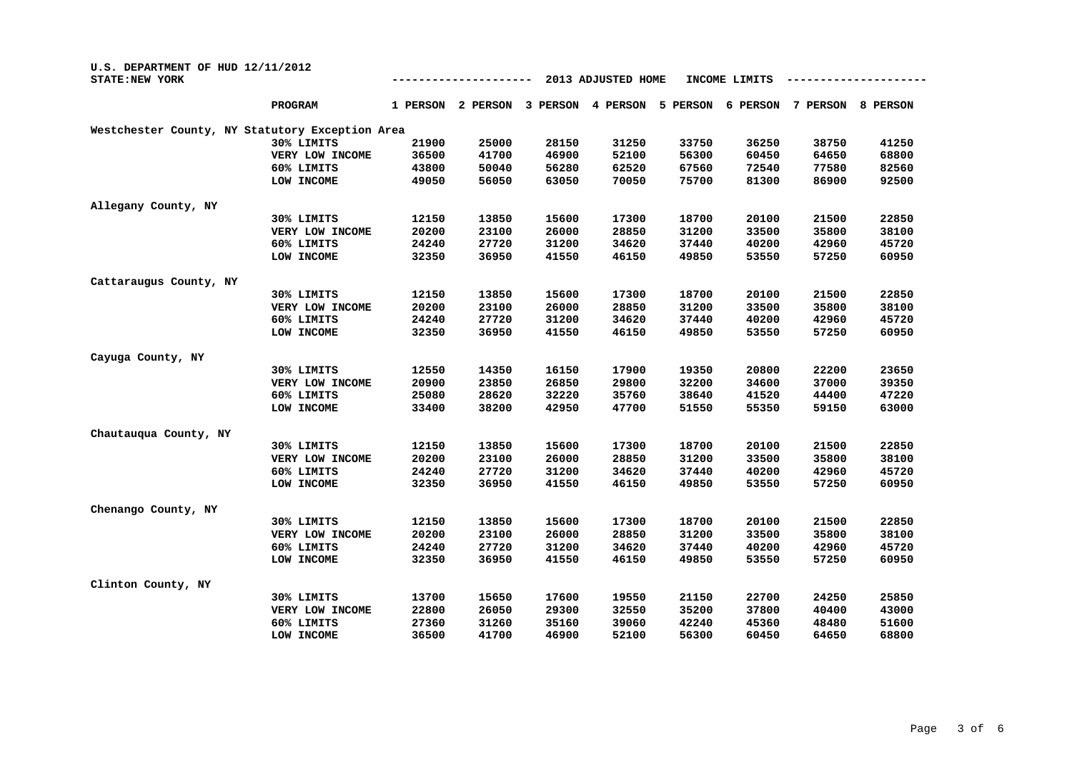| U.S. DEPARTMENT OF HUD 12/11/2012<br><b>STATE: NEW YORK</b> |                 |          |          |          |          |          |          |          |          |
|-------------------------------------------------------------|-----------------|----------|----------|----------|----------|----------|----------|----------|----------|
|                                                             | <b>PROGRAM</b>  | 1 PERSON | 2 PERSON | 3 PERSON | 4 PERSON | 5 PERSON | 6 PERSON | 7 PERSON | 8 PERSON |
| Westchester County, NY Statutory Exception Area             |                 |          |          |          |          |          |          |          |          |
|                                                             | 30% LIMITS      | 21900    | 25000    | 28150    | 31250    | 33750    | 36250    | 38750    | 41250    |
|                                                             | VERY LOW INCOME | 36500    | 41700    | 46900    | 52100    | 56300    | 60450    | 64650    | 68800    |
|                                                             | 60% LIMITS      | 43800    | 50040    | 56280    | 62520    | 67560    | 72540    | 77580    | 82560    |
|                                                             | LOW INCOME      | 49050    | 56050    | 63050    | 70050    | 75700    | 81300    | 86900    | 92500    |
| Allegany County, NY                                         |                 |          |          |          |          |          |          |          |          |
|                                                             | 30% LIMITS      | 12150    | 13850    | 15600    | 17300    | 18700    | 20100    | 21500    | 22850    |
|                                                             | VERY LOW INCOME | 20200    | 23100    | 26000    | 28850    | 31200    | 33500    | 35800    | 38100    |
|                                                             | 60% LIMITS      | 24240    | 27720    | 31200    | 34620    | 37440    | 40200    | 42960    | 45720    |
|                                                             | LOW INCOME      | 32350    | 36950    | 41550    | 46150    | 49850    | 53550    | 57250    | 60950    |
| Cattaraugus County, NY                                      |                 |          |          |          |          |          |          |          |          |
|                                                             | 30% LIMITS      | 12150    | 13850    | 15600    | 17300    | 18700    | 20100    | 21500    | 22850    |
|                                                             | VERY LOW INCOME | 20200    | 23100    | 26000    | 28850    | 31200    | 33500    | 35800    | 38100    |
|                                                             | 60% LIMITS      | 24240    | 27720    | 31200    | 34620    | 37440    | 40200    | 42960    | 45720    |
|                                                             | LOW INCOME      | 32350    | 36950    | 41550    | 46150    | 49850    | 53550    | 57250    | 60950    |
| Cayuga County, NY                                           |                 |          |          |          |          |          |          |          |          |
|                                                             | 30% LIMITS      | 12550    | 14350    | 16150    | 17900    | 19350    | 20800    | 22200    | 23650    |
|                                                             | VERY LOW INCOME | 20900    | 23850    | 26850    | 29800    | 32200    | 34600    | 37000    | 39350    |
|                                                             | 60% LIMITS      | 25080    | 28620    | 32220    | 35760    | 38640    | 41520    | 44400    | 47220    |
|                                                             | LOW INCOME      | 33400    | 38200    | 42950    | 47700    | 51550    | 55350    | 59150    | 63000    |
| Chautauqua County, NY                                       |                 |          |          |          |          |          |          |          |          |
|                                                             | 30% LIMITS      | 12150    | 13850    | 15600    | 17300    | 18700    | 20100    | 21500    | 22850    |
|                                                             | VERY LOW INCOME | 20200    | 23100    | 26000    | 28850    | 31200    | 33500    | 35800    | 38100    |
|                                                             | 60% LIMITS      | 24240    | 27720    | 31200    | 34620    | 37440    | 40200    | 42960    | 45720    |
|                                                             | LOW INCOME      | 32350    | 36950    | 41550    | 46150    | 49850    | 53550    | 57250    | 60950    |
| Chenango County, NY                                         |                 |          |          |          |          |          |          |          |          |
|                                                             | 30% LIMITS      | 12150    | 13850    | 15600    | 17300    | 18700    | 20100    | 21500    | 22850    |
|                                                             | VERY LOW INCOME | 20200    | 23100    | 26000    | 28850    | 31200    | 33500    | 35800    | 38100    |
|                                                             | 60% LIMITS      | 24240    | 27720    | 31200    | 34620    | 37440    | 40200    | 42960    | 45720    |
|                                                             | LOW INCOME      | 32350    | 36950    | 41550    | 46150    | 49850    | 53550    | 57250    | 60950    |
| Clinton County, NY                                          |                 |          |          |          |          |          |          |          |          |
|                                                             | 30% LIMITS      | 13700    | 15650    | 17600    | 19550    | 21150    | 22700    | 24250    | 25850    |
|                                                             | VERY LOW INCOME | 22800    | 26050    | 29300    | 32550    | 35200    | 37800    | 40400    | 43000    |
|                                                             | 60% LIMITS      | 27360    | 31260    | 35160    | 39060    | 42240    | 45360    | 48480    | 51600    |
|                                                             | LOW INCOME      | 36500    | 41700    | 46900    | 52100    | 56300    | 60450    | 64650    | 68800    |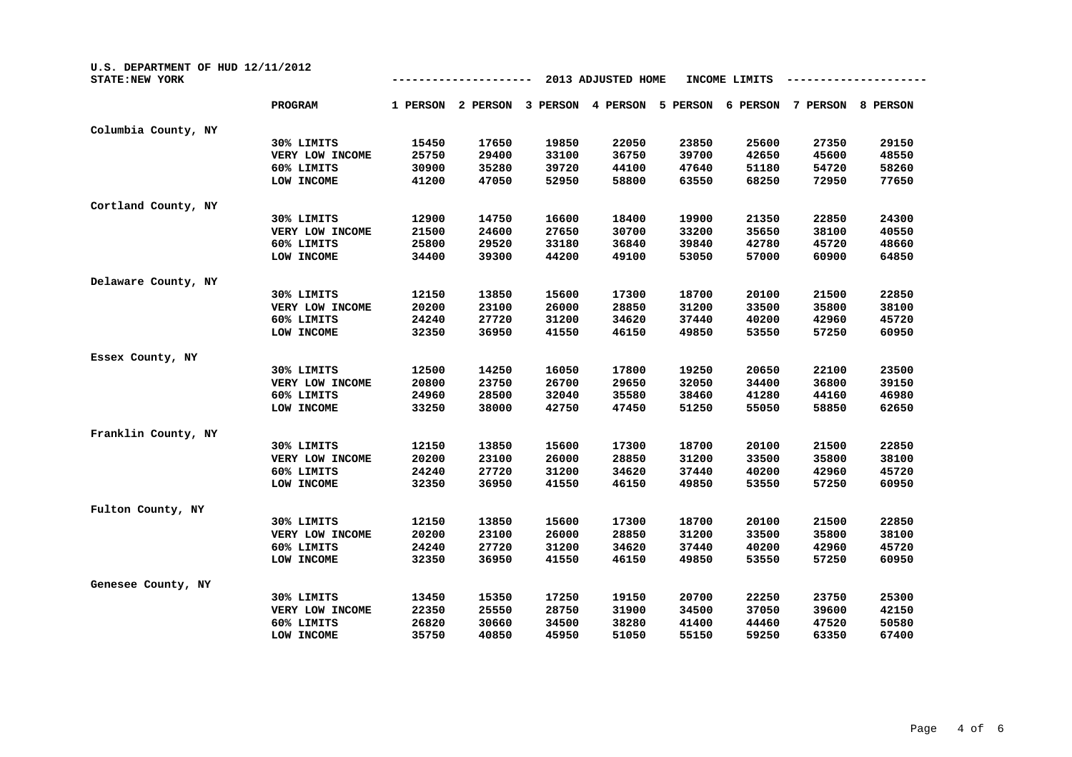| U.S. DEPARTMENT OF HUD 12/11/2012<br><b>STATE:NEW YORK</b> |                 |          |          |          | 2013 ADJUSTED HOME |          | INCOME LIMITS |          |          |
|------------------------------------------------------------|-----------------|----------|----------|----------|--------------------|----------|---------------|----------|----------|
|                                                            | <b>PROGRAM</b>  | 1 PERSON | 2 PERSON | 3 PERSON | 4 PERSON           | 5 PERSON | 6 PERSON      | 7 PERSON | 8 PERSON |
| Columbia County, NY                                        |                 |          |          |          |                    |          |               |          |          |
|                                                            | 30% LIMITS      | 15450    | 17650    | 19850    | 22050              | 23850    | 25600         | 27350    | 29150    |
|                                                            | VERY LOW INCOME | 25750    | 29400    | 33100    | 36750              | 39700    | 42650         | 45600    | 48550    |
|                                                            | 60% LIMITS      | 30900    | 35280    | 39720    | 44100              | 47640    | 51180         | 54720    | 58260    |
|                                                            | LOW INCOME      | 41200    | 47050    | 52950    | 58800              | 63550    | 68250         | 72950    | 77650    |
| Cortland County, NY                                        |                 |          |          |          |                    |          |               |          |          |
|                                                            | 30% LIMITS      | 12900    | 14750    | 16600    | 18400              | 19900    | 21350         | 22850    | 24300    |
|                                                            | VERY LOW INCOME | 21500    | 24600    | 27650    | 30700              | 33200    | 35650         | 38100    | 40550    |
|                                                            | 60% LIMITS      | 25800    | 29520    | 33180    | 36840              | 39840    | 42780         | 45720    | 48660    |
|                                                            | LOW INCOME      | 34400    | 39300    | 44200    | 49100              | 53050    | 57000         | 60900    | 64850    |
| Delaware County, NY                                        |                 |          |          |          |                    |          |               |          |          |
|                                                            | 30% LIMITS      | 12150    | 13850    | 15600    | 17300              | 18700    | 20100         | 21500    | 22850    |
|                                                            | VERY LOW INCOME | 20200    | 23100    | 26000    | 28850              | 31200    | 33500         | 35800    | 38100    |
|                                                            | 60% LIMITS      | 24240    | 27720    | 31200    | 34620              | 37440    | 40200         | 42960    | 45720    |
|                                                            | LOW INCOME      | 32350    | 36950    | 41550    | 46150              | 49850    | 53550         | 57250    | 60950    |
| Essex County, NY                                           |                 |          |          |          |                    |          |               |          |          |
|                                                            | 30% LIMITS      | 12500    | 14250    | 16050    | 17800              | 19250    | 20650         | 22100    | 23500    |
|                                                            | VERY LOW INCOME | 20800    | 23750    | 26700    | 29650              | 32050    | 34400         | 36800    | 39150    |
|                                                            | 60% LIMITS      | 24960    | 28500    | 32040    | 35580              | 38460    | 41280         | 44160    | 46980    |
|                                                            | LOW INCOME      | 33250    | 38000    | 42750    | 47450              | 51250    | 55050         | 58850    | 62650    |
| Franklin County, NY                                        |                 |          |          |          |                    |          |               |          |          |
|                                                            | 30% LIMITS      | 12150    | 13850    | 15600    | 17300              | 18700    | 20100         | 21500    | 22850    |
|                                                            | VERY LOW INCOME | 20200    | 23100    | 26000    | 28850              | 31200    | 33500         | 35800    | 38100    |
|                                                            | 60% LIMITS      | 24240    | 27720    | 31200    | 34620              | 37440    | 40200         | 42960    | 45720    |
|                                                            | LOW INCOME      | 32350    | 36950    | 41550    | 46150              | 49850    | 53550         | 57250    | 60950    |
| Fulton County, NY                                          |                 |          |          |          |                    |          |               |          |          |
|                                                            | 30% LIMITS      | 12150    | 13850    | 15600    | 17300              | 18700    | 20100         | 21500    | 22850    |
|                                                            | VERY LOW INCOME | 20200    | 23100    | 26000    | 28850              | 31200    | 33500         | 35800    | 38100    |
|                                                            | 60% LIMITS      | 24240    | 27720    | 31200    | 34620              | 37440    | 40200         | 42960    | 45720    |
|                                                            | LOW INCOME      | 32350    | 36950    | 41550    | 46150              | 49850    | 53550         | 57250    | 60950    |
| Genesee County, NY                                         |                 |          |          |          |                    |          |               |          |          |
|                                                            | 30% LIMITS      | 13450    | 15350    | 17250    | 19150              | 20700    | 22250         | 23750    | 25300    |
|                                                            | VERY LOW INCOME | 22350    | 25550    | 28750    | 31900              | 34500    | 37050         | 39600    | 42150    |
|                                                            | 60% LIMITS      | 26820    | 30660    | 34500    | 38280              | 41400    | 44460         | 47520    | 50580    |
|                                                            | LOW INCOME      | 35750    | 40850    | 45950    | 51050              | 55150    | 59250         | 63350    | 67400    |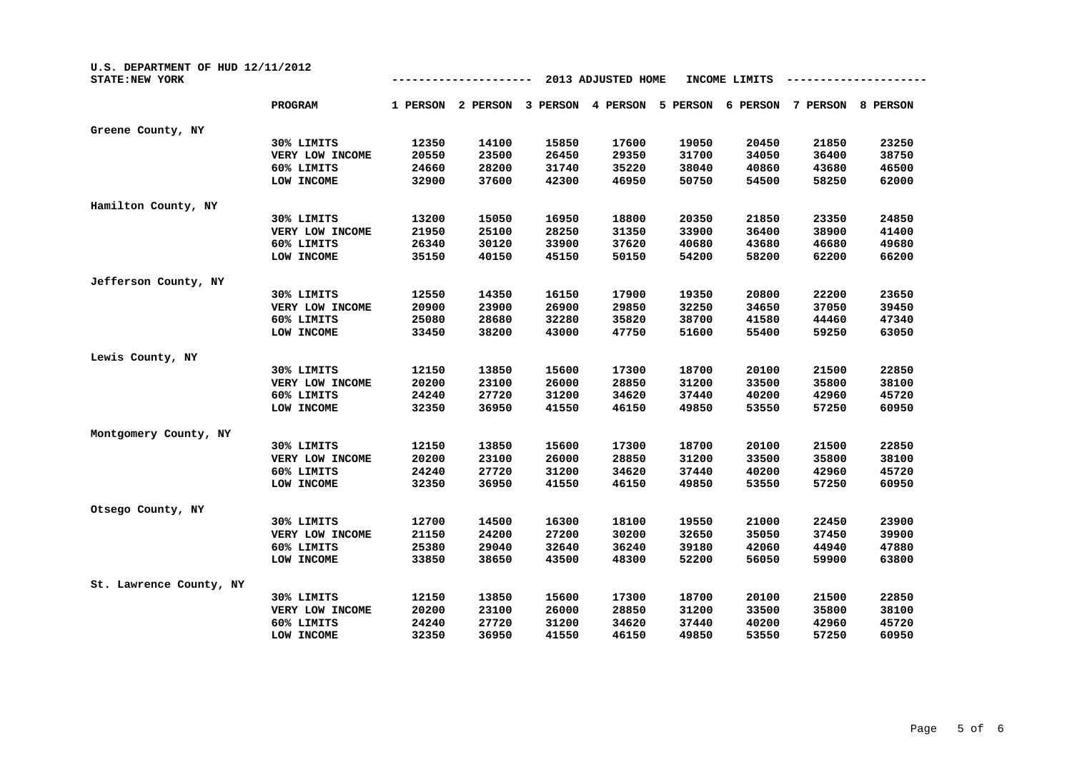| U.S. DEPARTMENT OF HUD 12/11/2012<br><b>STATE:NEW YORK</b> |                 | 2013 ADJUSTED HOME<br>INCOME LIMITS |          |          |          |          |          |          |          |  |
|------------------------------------------------------------|-----------------|-------------------------------------|----------|----------|----------|----------|----------|----------|----------|--|
|                                                            | PROGRAM         | 1 PERSON                            | 2 PERSON | 3 PERSON | 4 PERSON | 5 PERSON | 6 PERSON | 7 PERSON | 8 PERSON |  |
| Greene County, NY                                          |                 |                                     |          |          |          |          |          |          |          |  |
|                                                            | 30% LIMITS      | 12350                               | 14100    | 15850    | 17600    | 19050    | 20450    | 21850    | 23250    |  |
|                                                            | VERY LOW INCOME | 20550                               | 23500    | 26450    | 29350    | 31700    | 34050    | 36400    | 38750    |  |
|                                                            | 60% LIMITS      | 24660                               | 28200    | 31740    | 35220    | 38040    | 40860    | 43680    | 46500    |  |
|                                                            | LOW INCOME      | 32900                               | 37600    | 42300    | 46950    | 50750    | 54500    | 58250    | 62000    |  |
| Hamilton County, NY                                        |                 |                                     |          |          |          |          |          |          |          |  |
|                                                            | 30% LIMITS      | 13200                               | 15050    | 16950    | 18800    | 20350    | 21850    | 23350    | 24850    |  |
|                                                            | VERY LOW INCOME | 21950                               | 25100    | 28250    | 31350    | 33900    | 36400    | 38900    | 41400    |  |
|                                                            | 60% LIMITS      | 26340                               | 30120    | 33900    | 37620    | 40680    | 43680    | 46680    | 49680    |  |
|                                                            | LOW INCOME      | 35150                               | 40150    | 45150    | 50150    | 54200    | 58200    | 62200    | 66200    |  |
| Jefferson County, NY                                       |                 |                                     |          |          |          |          |          |          |          |  |
|                                                            | 30% LIMITS      | 12550                               | 14350    | 16150    | 17900    | 19350    | 20800    | 22200    | 23650    |  |
|                                                            | VERY LOW INCOME | 20900                               | 23900    | 26900    | 29850    | 32250    | 34650    | 37050    | 39450    |  |
|                                                            | 60% LIMITS      | 25080                               | 28680    | 32280    | 35820    | 38700    | 41580    | 44460    | 47340    |  |
|                                                            | LOW INCOME      | 33450                               | 38200    | 43000    | 47750    | 51600    | 55400    | 59250    | 63050    |  |
| Lewis County, NY                                           |                 |                                     |          |          |          |          |          |          |          |  |
|                                                            | 30% LIMITS      | 12150                               | 13850    | 15600    | 17300    | 18700    | 20100    | 21500    | 22850    |  |
|                                                            | VERY LOW INCOME | 20200                               | 23100    | 26000    | 28850    | 31200    | 33500    | 35800    | 38100    |  |
|                                                            | 60% LIMITS      | 24240                               | 27720    | 31200    | 34620    | 37440    | 40200    | 42960    | 45720    |  |
|                                                            | LOW INCOME      | 32350                               | 36950    | 41550    | 46150    | 49850    | 53550    | 57250    | 60950    |  |
| Montgomery County, NY                                      |                 |                                     |          |          |          |          |          |          |          |  |
|                                                            | 30% LIMITS      | 12150                               | 13850    | 15600    | 17300    | 18700    | 20100    | 21500    | 22850    |  |
|                                                            | VERY LOW INCOME | 20200                               | 23100    | 26000    | 28850    | 31200    | 33500    | 35800    | 38100    |  |
|                                                            | 60% LIMITS      | 24240                               | 27720    | 31200    | 34620    | 37440    | 40200    | 42960    | 45720    |  |
|                                                            | LOW INCOME      | 32350                               | 36950    | 41550    | 46150    | 49850    | 53550    | 57250    | 60950    |  |
| Otsego County, NY                                          |                 |                                     |          |          |          |          |          |          |          |  |
|                                                            | 30% LIMITS      | 12700                               | 14500    | 16300    | 18100    | 19550    | 21000    | 22450    | 23900    |  |
|                                                            | VERY LOW INCOME | 21150                               | 24200    | 27200    | 30200    | 32650    | 35050    | 37450    | 39900    |  |
|                                                            | 60% LIMITS      | 25380                               | 29040    | 32640    | 36240    | 39180    | 42060    | 44940    | 47880    |  |
|                                                            | LOW INCOME      | 33850                               | 38650    | 43500    | 48300    | 52200    | 56050    | 59900    | 63800    |  |
| St. Lawrence County, NY                                    |                 |                                     |          |          |          |          |          |          |          |  |
|                                                            | 30% LIMITS      | 12150                               | 13850    | 15600    | 17300    | 18700    | 20100    | 21500    | 22850    |  |
|                                                            | VERY LOW INCOME | 20200                               | 23100    | 26000    | 28850    | 31200    | 33500    | 35800    | 38100    |  |
|                                                            | 60% LIMITS      | 24240                               | 27720    | 31200    | 34620    | 37440    | 40200    | 42960    | 45720    |  |
|                                                            | LOW INCOME      | 32350                               | 36950    | 41550    | 46150    | 49850    | 53550    | 57250    | 60950    |  |